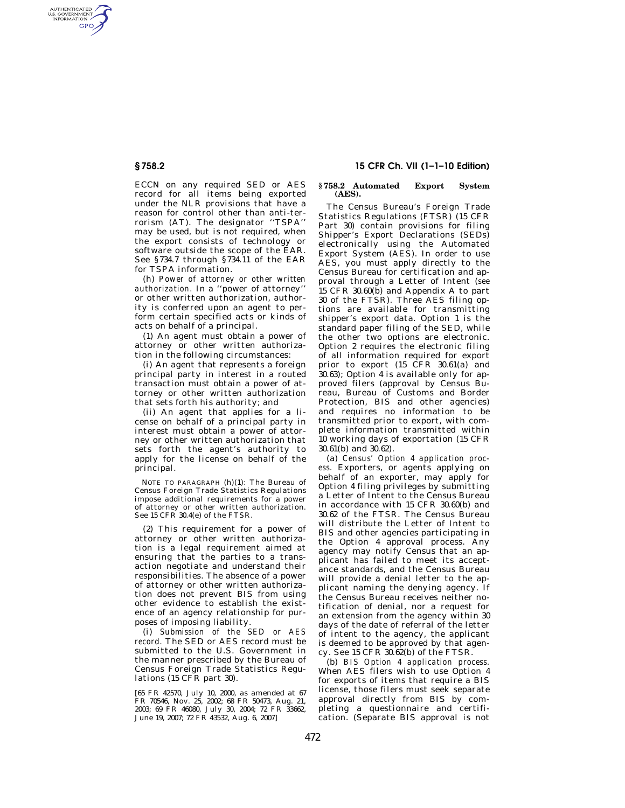AUTHENTICATED<br>U.S. GOVERNMENT<br>INFORMATION **GPO** 

> ECCN on any required SED or AES record for all items being exported under the NLR provisions that have a reason for control other than anti-terrorism (AT). The designator ''TSPA'' may be used, but is not required, when the export consists of technology or software outside the scope of the EAR. See §734.7 through §734.11 of the EAR for TSPA information.

> (h) *Power of attorney or other written authorization.* In a ''power of attorney'' or other written authorization, authority is conferred upon an agent to perform certain specified acts or kinds of acts on behalf of a principal.

> (1) An agent must obtain a power of attorney or other written authorization in the following circumstances:

> (i) An agent that represents a foreign principal party in interest in a routed transaction must obtain a power of attorney or other written authorization that sets forth his authority; and

> (ii) An agent that applies for a license on behalf of a principal party in interest must obtain a power of attorney or other written authorization that sets forth the agent's authority to apply for the license on behalf of the principal.

> NOTE TO PARAGRAPH (h)(1): The Bureau of Census Foreign Trade Statistics Regulations impose additional requirements for a power of attorney or other written authorization. See 15 CFR 30.4(e) of the FTSR.

> (2) This requirement for a power of attorney or other written authorization is a legal requirement aimed at ensuring that the parties to a transaction negotiate and understand their responsibilities. The absence of a power of attorney or other written authorization does not prevent BIS from using other evidence to establish the existence of an agency relationship for purposes of imposing liability.

> (i) *Submission of the SED or AES record.* The SED or AES record must be submitted to the U.S. Government in the manner prescribed by the Bureau of Census Foreign Trade Statistics Regulations (15 CFR part 30).

> [65 FR 42570, July 10, 2000, as amended at 67 FR 70546, Nov. 25, 2002; 68 FR 50473, Aug. 21, 2003; 69 FR 46080, July 30, 2004; 72 FR 33662, June 19, 2007; 72 FR 43532, Aug. 6, 2007]

## **§ 758.2 15 CFR Ch. VII (1–1–10 Edition)**

## **§ 758.2 Automated Export System (AES).**

The Census Bureau's Foreign Trade Statistics Regulations (FTSR) (15 CFR Part 30) contain provisions for filing Shipper's Export Declarations (SEDs) electronically using the Automated Export System (AES). In order to use AES, you must apply directly to the Census Bureau for certification and approval through a Letter of Intent (*see*  15 CFR 30.60(b) and Appendix A to part 30 of the FTSR). Three AES filing options are available for transmitting shipper's export data. Option 1 is the standard paper filing of the SED, while the other two options are electronic. Option 2 requires the electronic filing of all information required for export prior to export (15 CFR 30.61(a) and 30.63); Option 4 is available only for approved filers (approval by Census Bureau, Bureau of Customs and Border Protection, BIS and other agencies) and requires no information to be transmitted prior to export, with complete information transmitted within 10 working days of exportation (15 CFR 30.61(b) and 30.62).

(a) *Census' Option 4 application process.* Exporters, or agents applying on behalf of an exporter, may apply for Option 4 filing privileges by submitting a Letter of Intent to the Census Bureau in accordance with 15 CFR 30.60(b) and 30.62 of the FTSR. The Census Bureau will distribute the Letter of Intent to BIS and other agencies participating in the Option 4 approval process. Any agency may notify Census that an applicant has failed to meet its acceptance standards, and the Census Bureau will provide a denial letter to the applicant naming the denying agency. If the Census Bureau receives neither notification of denial, nor a request for an extension from the agency within 30 days of the date of referral of the letter of intent to the agency, the applicant is deemed to be approved by that agency. See 15 CFR 30.62(b) of the FTSR.

(b) *BIS Option 4 application process.*  When AES filers wish to use Option 4 for exports of items that require a BIS license, those filers must seek separate approval directly from BIS by completing a questionnaire and certification. (Separate BIS approval is not